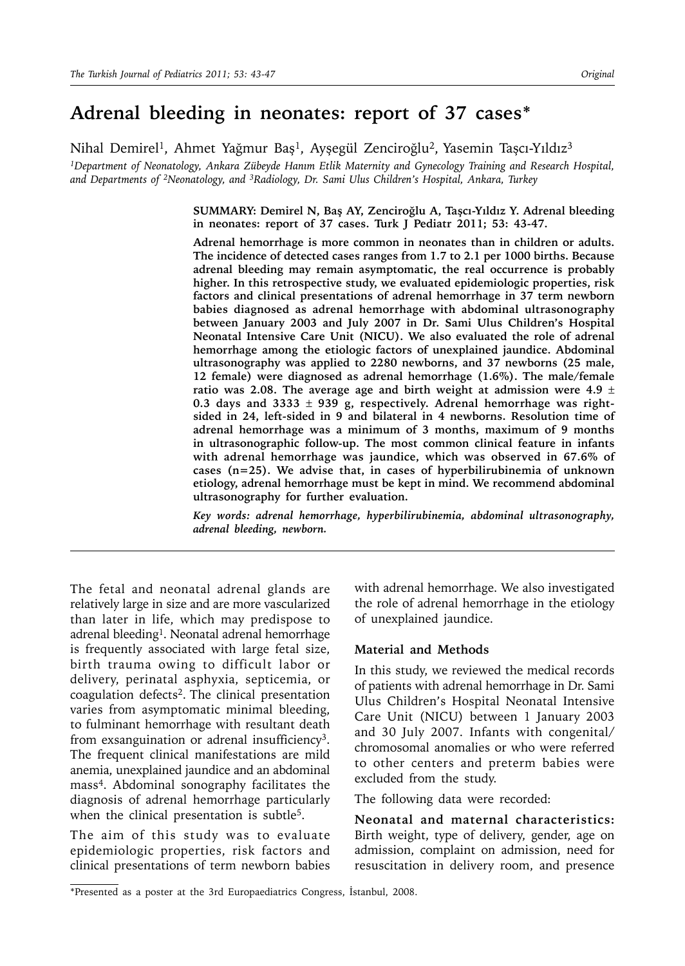# **Adrenal bleeding in neonates: report of 37 cases\***

Nihal Demirel<sup>1</sup>, Ahmet Yağmur Baş<sup>1</sup>, Ayşegül Zenciroğlu<sup>2</sup>, Yasemin Taşcı-Yıldız<sup>3</sup>

*1Department of Neonatology, Ankara Zübeyde Hanım Etlik Maternity and Gynecology Training and Research Hospital, and Departments of 2Neonatology, and 3Radiology, Dr. Sami Ulus Children's Hospital, Ankara, Turkey*

> **SUMMARY: Demirel N, Baş AY, Zenciroğlu A, Taşcı-Yıldız Y. Adrenal bleeding in neonates: report of 37 cases. Turk J Pediatr 2011; 53: 43-47.**

> **Adrenal hemorrhage is more common in neonates than in children or adults. The incidence of detected cases ranges from 1.7 to 2.1 per 1000 births. Because adrenal bleeding may remain asymptomatic, the real occurrence is probably higher. In this retrospective study, we evaluated epidemiologic properties, risk factors and clinical presentations of adrenal hemorrhage in 37 term newborn babies diagnosed as adrenal hemorrhage with abdominal ultrasonography between January 2003 and July 2007 in Dr. Sami Ulus Children's Hospital Neonatal Intensive Care Unit (NICU). We also evaluated the role of adrenal hemorrhage among the etiologic factors of unexplained jaundice. Abdominal ultrasonography was applied to 2280 newborns, and 37 newborns (25 male, 12 female) were diagnosed as adrenal hemorrhage (1.6%). The male/female ratio was 2.08. The average age and birth weight at admission were 4.9** ± **0.3 days and 3333** ± **939 g, respectively. Adrenal hemorrhage was rightsided in 24, left-sided in 9 and bilateral in 4 newborns. Resolution time of adrenal hemorrhage was a minimum of 3 months, maximum of 9 months in ultrasonographic follow-up. The most common clinical feature in infants with adrenal hemorrhage was jaundice, which was observed in 67.6% of cases (n=25). We advise that, in cases of hyperbilirubinemia of unknown etiology, adrenal hemorrhage must be kept in mind. We recommend abdominal ultrasonography for further evaluation.**

> *Key words: adrenal hemorrhage, hyperbilirubinemia, abdominal ultrasonography, adrenal bleeding, newborn.*

The fetal and neonatal adrenal glands are relatively large in size and are more vascularized than later in life, which may predispose to adrenal bleeding<sup>1</sup>. Neonatal adrenal hemorrhage is frequently associated with large fetal size, birth trauma owing to difficult labor or delivery, perinatal asphyxia, septicemia, or coagulation defects2. The clinical presentation varies from asymptomatic minimal bleeding, to fulminant hemorrhage with resultant death from exsanguination or adrenal insufficiency<sup>3</sup>. The frequent clinical manifestations are mild anemia, unexplained jaundice and an abdominal mass4. Abdominal sonography facilitates the diagnosis of adrenal hemorrhage particularly when the clinical presentation is subtle<sup>5</sup>.

The aim of this study was to evaluate epidemiologic properties, risk factors and clinical presentations of term newborn babies

with adrenal hemorrhage. We also investigated the role of adrenal hemorrhage in the etiology of unexplained jaundice.

#### **Material and Methods**

In this study, we reviewed the medical records of patients with adrenal hemorrhage in Dr. Sami Ulus Children's Hospital Neonatal Intensive Care Unit (NICU) between 1 January 2003 and 30 July 2007. Infants with congenital/ chromosomal anomalies or who were referred to other centers and preterm babies were excluded from the study.

The following data were recorded:

**Neonatal and maternal characteristics:**  Birth weight, type of delivery, gender, age on admission, complaint on admission, need for resuscitation in delivery room, and presence

<sup>\*</sup>Presented as a poster at the 3rd Europaediatrics Congress, İstanbul, 2008.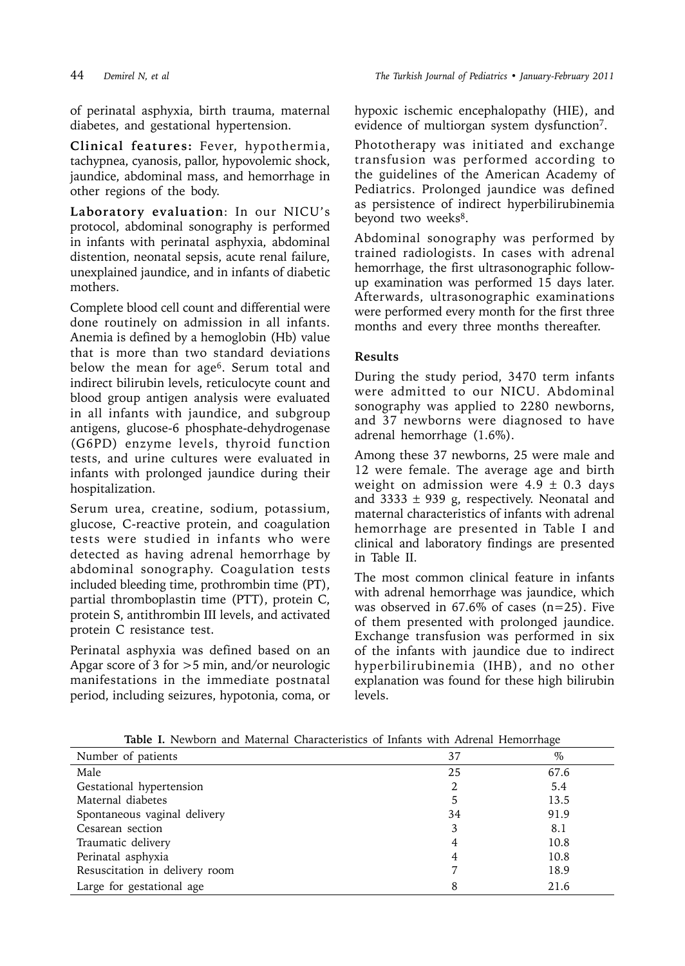of perinatal asphyxia, birth trauma, maternal diabetes, and gestational hypertension.

**Clinical features:** Fever, hypothermia, tachypnea, cyanosis, pallor, hypovolemic shock, jaundice, abdominal mass, and hemorrhage in other regions of the body.

**Laboratory evaluation**: In our NICU's protocol, abdominal sonography is performed in infants with perinatal asphyxia, abdominal distention, neonatal sepsis, acute renal failure, unexplained jaundice, and in infants of diabetic mothers.

Complete blood cell count and differential were done routinely on admission in all infants. Anemia is defined by a hemoglobin (Hb) value that is more than two standard deviations below the mean for age<sup>6</sup>. Serum total and indirect bilirubin levels, reticulocyte count and blood group antigen analysis were evaluated in all infants with jaundice, and subgroup antigens, glucose-6 phosphate-dehydrogenase (G6PD) enzyme levels, thyroid function tests, and urine cultures were evaluated in infants with prolonged jaundice during their hospitalization.

Serum urea, creatine, sodium, potassium, glucose, C-reactive protein, and coagulation tests were studied in infants who were detected as having adrenal hemorrhage by abdominal sonography. Coagulation tests included bleeding time, prothrombin time (PT), partial thromboplastin time (PTT), protein C, protein S, antithrombin III levels, and activated protein C resistance test.

Perinatal asphyxia was defined based on an Apgar score of 3 for >5 min, and/or neurologic manifestations in the immediate postnatal period, including seizures, hypotonia, coma, or

hypoxic ischemic encephalopathy (HIE), and evidence of multiorgan system dysfunction<sup>7</sup>.

Phototherapy was initiated and exchange transfusion was performed according to the guidelines of the American Academy of Pediatrics. Prolonged jaundice was defined as persistence of indirect hyperbilirubinemia beyond two weeks<sup>8</sup>.

Abdominal sonography was performed by trained radiologists. In cases with adrenal hemorrhage, the first ultrasonographic followup examination was performed 15 days later. Afterwards, ultrasonographic examinations were performed every month for the first three months and every three months thereafter.

# **Results**

During the study period, 3470 term infants were admitted to our NICU. Abdominal sonography was applied to 2280 newborns, and 37 newborns were diagnosed to have adrenal hemorrhage (1.6%).

Among these 37 newborns, 25 were male and 12 were female. The average age and birth weight on admission were  $4.9 \pm 0.3$  days and  $3333 \pm 939$  g, respectively. Neonatal and maternal characteristics of infants with adrenal hemorrhage are presented in Table I and clinical and laboratory findings are presented in Table II.

The most common clinical feature in infants with adrenal hemorrhage was jaundice, which was observed in 67.6% of cases (n=25). Five of them presented with prolonged jaundice. Exchange transfusion was performed in six of the infants with jaundice due to indirect hyperbilirubinemia (IHB), and no other explanation was found for these high bilirubin levels.

| Number of patients             | 37 | $\%$ |
|--------------------------------|----|------|
| Male                           | 25 | 67.6 |
| Gestational hypertension       |    | 5.4  |
| Maternal diabetes              | 5  | 13.5 |
| Spontaneous vaginal delivery   | 34 | 91.9 |
| Cesarean section               | 3  | 8.1  |
| Traumatic delivery             | 4  | 10.8 |
| Perinatal asphyxia             | 4  | 10.8 |
| Resuscitation in delivery room |    | 18.9 |
| Large for gestational age      | 8  | 21.6 |

**Table I.** Newborn and Maternal Characteristics of Infants with Adrenal Hemorrhage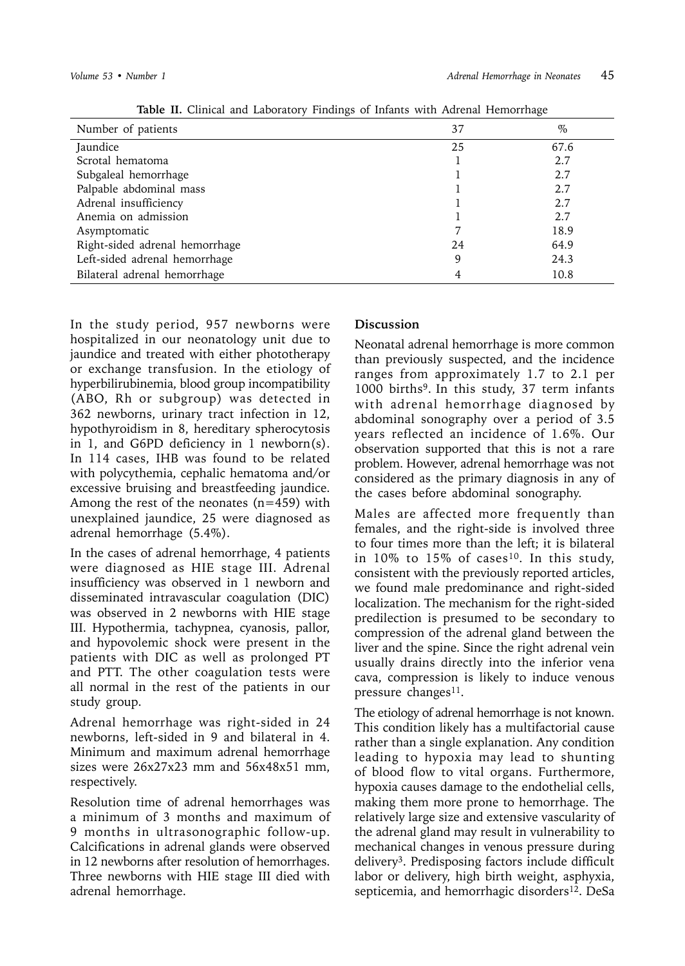| Number of patients             | 37 | $\%$ |
|--------------------------------|----|------|
| Jaundice                       | 25 | 67.6 |
| Scrotal hematoma               |    | 2.7  |
| Subgaleal hemorrhage           |    | 2.7  |
| Palpable abdominal mass        |    | 2.7  |
| Adrenal insufficiency          |    | 2.7  |
| Anemia on admission            |    | 2.7  |
| Asymptomatic                   |    | 18.9 |
| Right-sided adrenal hemorrhage | 24 | 64.9 |
| Left-sided adrenal hemorrhage  | 9  | 24.3 |
| Bilateral adrenal hemorrhage   |    | 10.8 |

**Table II.** Clinical and Laboratory Findings of Infants with Adrenal Hemorrhage

In the study period, 957 newborns were hospitalized in our neonatology unit due to jaundice and treated with either phototherapy or exchange transfusion. In the etiology of hyperbilirubinemia, blood group incompatibility (ABO, Rh or subgroup) was detected in 362 newborns, urinary tract infection in 12, hypothyroidism in 8, hereditary spherocytosis in 1, and G6PD deficiency in 1 newborn(s). In 114 cases, IHB was found to be related with polycythemia, cephalic hematoma and/or excessive bruising and breastfeeding jaundice. Among the rest of the neonates  $(n=459)$  with unexplained jaundice, 25 were diagnosed as adrenal hemorrhage (5.4%).

In the cases of adrenal hemorrhage, 4 patients were diagnosed as HIE stage III. Adrenal insufficiency was observed in 1 newborn and disseminated intravascular coagulation (DIC) was observed in 2 newborns with HIE stage III. Hypothermia, tachypnea, cyanosis, pallor, and hypovolemic shock were present in the patients with DIC as well as prolonged PT and PTT. The other coagulation tests were all normal in the rest of the patients in our study group.

Adrenal hemorrhage was right-sided in 24 newborns, left-sided in 9 and bilateral in 4. Minimum and maximum adrenal hemorrhage sizes were 26x27x23 mm and 56x48x51 mm, respectively.

Resolution time of adrenal hemorrhages was a minimum of 3 months and maximum of 9 months in ultrasonographic follow-up. Calcifications in adrenal glands were observed in 12 newborns after resolution of hemorrhages. Three newborns with HIE stage III died with adrenal hemorrhage.

## **Discussion**

Neonatal adrenal hemorrhage is more common than previously suspected, and the incidence ranges from approximately 1.7 to 2.1 per 1000 births<sup>9</sup>. In this study, 37 term infants with adrenal hemorrhage diagnosed by abdominal sonography over a period of 3.5 years reflected an incidence of 1.6%. Our observation supported that this is not a rare problem. However, adrenal hemorrhage was not considered as the primary diagnosis in any of the cases before abdominal sonography.

Males are affected more frequently than females, and the right-side is involved three to four times more than the left; it is bilateral in  $10\%$  to  $15\%$  of cases<sup>10</sup>. In this study, consistent with the previously reported articles, we found male predominance and right-sided localization. The mechanism for the right-sided predilection is presumed to be secondary to compression of the adrenal gland between the liver and the spine. Since the right adrenal vein usually drains directly into the inferior vena cava, compression is likely to induce venous pressure changes<sup>11</sup>.

The etiology of adrenal hemorrhage is not known. This condition likely has a multifactorial cause rather than a single explanation. Any condition leading to hypoxia may lead to shunting of blood flow to vital organs. Furthermore, hypoxia causes damage to the endothelial cells, making them more prone to hemorrhage. The relatively large size and extensive vascularity of the adrenal gland may result in vulnerability to mechanical changes in venous pressure during delivery3. Predisposing factors include difficult labor or delivery, high birth weight, asphyxia, septicemia, and hemorrhagic disorders<sup>12</sup>. DeSa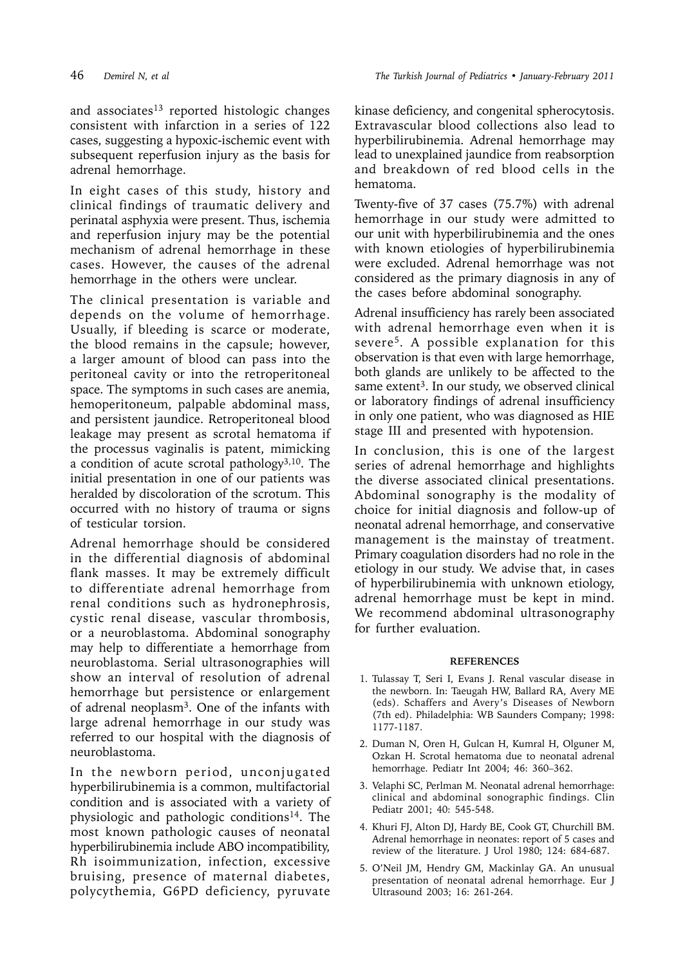46 *Demirel N, et al The Turkish Journal of Pediatrics • January-February 2011*

and associates<sup>13</sup> reported histologic changes consistent with infarction in a series of 122 cases, suggesting a hypoxic-ischemic event with subsequent reperfusion injury as the basis for adrenal hemorrhage.

In eight cases of this study, history and clinical findings of traumatic delivery and perinatal asphyxia were present. Thus, ischemia and reperfusion injury may be the potential mechanism of adrenal hemorrhage in these cases. However, the causes of the adrenal hemorrhage in the others were unclear.

The clinical presentation is variable and depends on the volume of hemorrhage. Usually, if bleeding is scarce or moderate, the blood remains in the capsule; however, a larger amount of blood can pass into the peritoneal cavity or into the retroperitoneal space. The symptoms in such cases are anemia, hemoperitoneum, palpable abdominal mass, and persistent jaundice. Retroperitoneal blood leakage may present as scrotal hematoma if the processus vaginalis is patent, mimicking a condition of acute scrotal pathology3,10. The initial presentation in one of our patients was heralded by discoloration of the scrotum. This occurred with no history of trauma or signs of testicular torsion.

Adrenal hemorrhage should be considered in the differential diagnosis of abdominal flank masses. It may be extremely difficult to differentiate adrenal hemorrhage from renal conditions such as hydronephrosis, cystic renal disease, vascular thrombosis, or a neuroblastoma. Abdominal sonography may help to differentiate a hemorrhage from neuroblastoma. Serial ultrasonographies will show an interval of resolution of adrenal hemorrhage but persistence or enlargement of adrenal neoplasm3. One of the infants with large adrenal hemorrhage in our study was referred to our hospital with the diagnosis of neuroblastoma.

In the newborn period, unconjugated hyperbilirubinemia is a common, multifactorial condition and is associated with a variety of physiologic and pathologic conditions14. The most known pathologic causes of neonatal hyperbilirubinemia include ABO incompatibility, Rh isoimmunization, infection, excessive bruising, presence of maternal diabetes, polycythemia, G6PD deficiency, pyruvate

kinase deficiency, and congenital spherocytosis. Extravascular blood collections also lead to hyperbilirubinemia. Adrenal hemorrhage may lead to unexplained jaundice from reabsorption and breakdown of red blood cells in the hematoma.

Twenty-five of 37 cases (75.7%) with adrenal hemorrhage in our study were admitted to our unit with hyperbilirubinemia and the ones with known etiologies of hyperbilirubinemia were excluded. Adrenal hemorrhage was not considered as the primary diagnosis in any of the cases before abdominal sonography.

Adrenal insufficiency has rarely been associated with adrenal hemorrhage even when it is severe5. A possible explanation for this observation is that even with large hemorrhage, both glands are unlikely to be affected to the same extent<sup>3</sup>. In our study, we observed clinical or laboratory findings of adrenal insufficiency in only one patient, who was diagnosed as HIE stage III and presented with hypotension.

In conclusion, this is one of the largest series of adrenal hemorrhage and highlights the diverse associated clinical presentations. Abdominal sonography is the modality of choice for initial diagnosis and follow-up of neonatal adrenal hemorrhage, and conservative management is the mainstay of treatment. Primary coagulation disorders had no role in the etiology in our study. We advise that, in cases of hyperbilirubinemia with unknown etiology, adrenal hemorrhage must be kept in mind. We recommend abdominal ultrasonography for further evaluation.

### **REFERENCES**

- 1. Tulassay T, Seri I, Evans J. Renal vascular disease in the newborn. In: Taeugah HW, Ballard RA, Avery ME (eds). Schaffers and Avery's Diseases of Newborn (7th ed). Philadelphia: WB Saunders Company; 1998: 1177-1187.
- 2. Duman N, Oren H, Gulcan H, Kumral H, Olguner M, Ozkan H. Scrotal hematoma due to neonatal adrenal hemorrhage. Pediatr Int 2004; 46: 360–362.
- 3. Velaphi SC, Perlman M. Neonatal adrenal hemorrhage: clinical and abdominal sonographic findings. Clin Pediatr 2001; 40: 545-548.
- 4. Khuri FJ, Alton DJ, Hardy BE, Cook GT, Churchill BM. Adrenal hemorrhage in neonates: report of 5 cases and review of the literature. J Urol 1980; 124: 684-687.
- 5. O'Neil JM, Hendry GM, Mackinlay GA. An unusual presentation of neonatal adrenal hemorrhage. Eur J Ultrasound 2003; 16: 261-264.